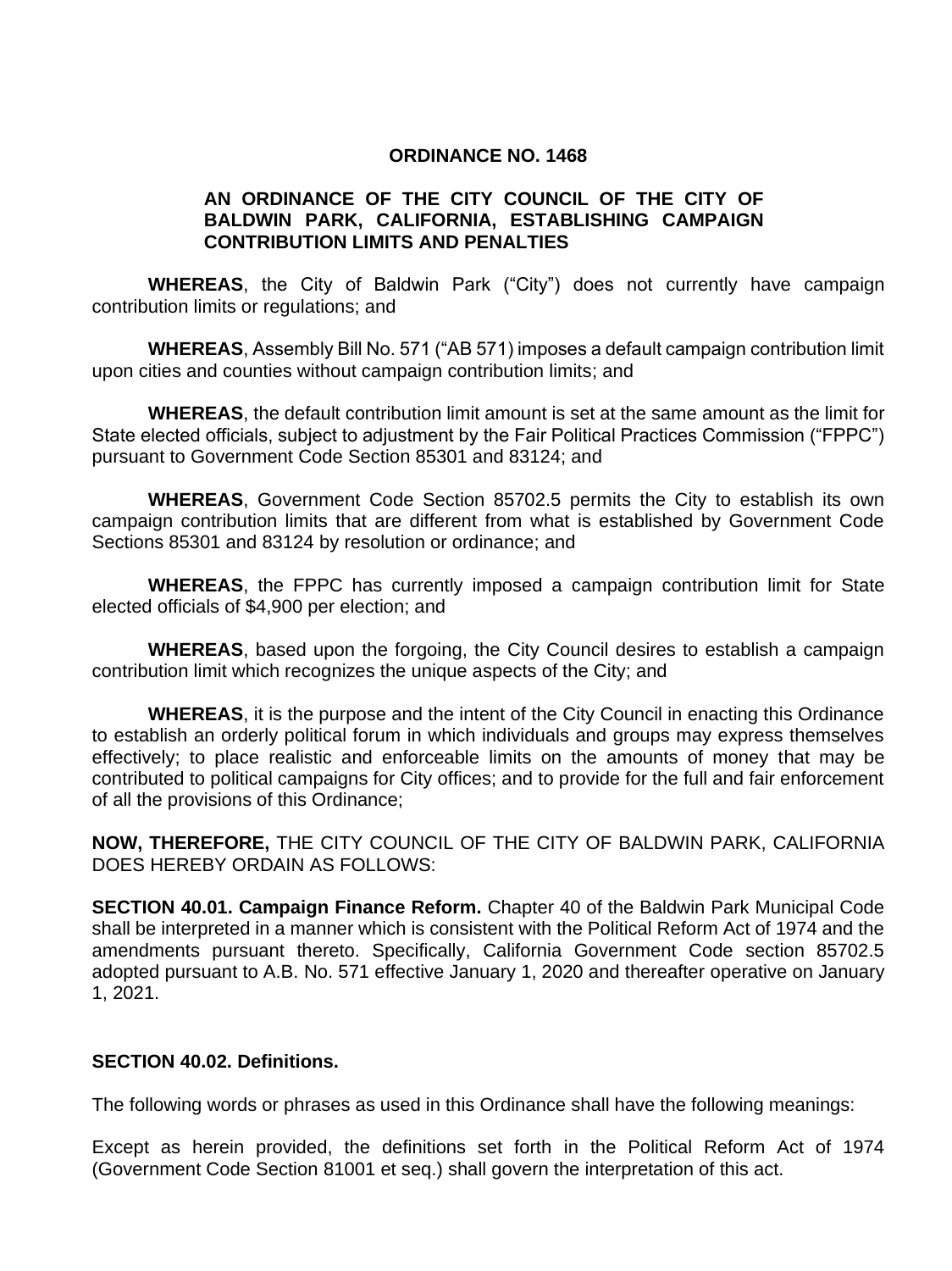#### **ORDINANCE NO. 1468**

### **AN ORDINANCE OF THE CITY COUNCIL OF THE CITY OF BALDWIN PARK, CALIFORNIA, ESTABLISHING CAMPAIGN CONTRIBUTION LIMITS AND PENALTIES**

**WHEREAS**, the City of Baldwin Park ("City") does not currently have campaign contribution limits or regulations; and

**WHEREAS**, Assembly Bill No. 571 ("AB 571) imposes a default campaign contribution limit upon cities and counties without campaign contribution limits; and

**WHEREAS**, the default contribution limit amount is set at the same amount as the limit for State elected officials, subject to adjustment by the Fair Political Practices Commission ("FPPC") pursuant to Government Code Section 85301 and 83124; and

**WHEREAS**, Government Code Section 85702.5 permits the City to establish its own campaign contribution limits that are different from what is established by Government Code Sections 85301 and 83124 by resolution or ordinance; and

**WHEREAS**, the FPPC has currently imposed a campaign contribution limit for State elected officials of \$4,900 per election; and

**WHEREAS**, based upon the forgoing, the City Council desires to establish a campaign contribution limit which recognizes the unique aspects of the City; and

**WHEREAS**, it is the purpose and the intent of the City Council in enacting this Ordinance to establish an orderly political forum in which individuals and groups may express themselves effectively; to place realistic and enforceable limits on the amounts of money that may be contributed to political campaigns for City offices; and to provide for the full and fair enforcement of all the provisions of this Ordinance;

**NOW, THEREFORE,** THE CITY COUNCIL OF THE CITY OF BALDWIN PARK, CALIFORNIA DOES HEREBY ORDAIN AS FOLLOWS:

**SECTION 40.01. Campaign Finance Reform.** Chapter 40 of the Baldwin Park Municipal Code shall be interpreted in a manner which is consistent with the Political Reform Act of 1974 and the amendments pursuant thereto. Specifically, California Government Code section 85702.5 adopted pursuant to A.B. No. 571 effective January 1, 2020 and thereafter operative on January 1, 2021.

### **SECTION 40.02. Definitions.**

The following words or phrases as used in this Ordinance shall have the following meanings:

Except as herein provided, the definitions set forth in the Political Reform Act of 1974 (Government Code Section 81001 et seq.) shall govern the interpretation of this act.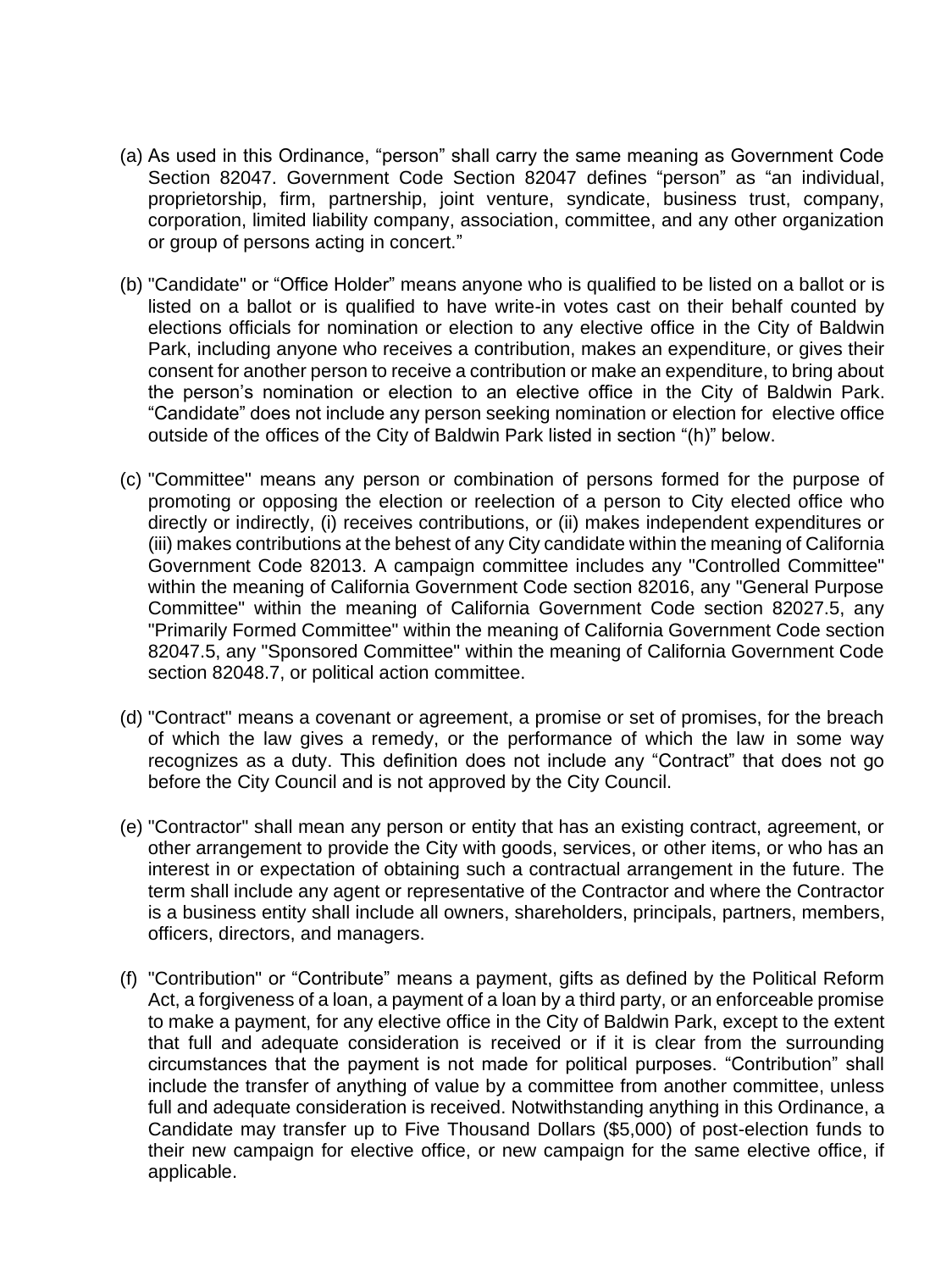- (a) As used in this Ordinance, "person" shall carry the same meaning as Government Code Section 82047. Government Code Section 82047 defines "person" as "an individual, proprietorship, firm, partnership, joint venture, syndicate, business trust, company, corporation, limited liability company, association, committee, and any other organization or group of persons acting in concert."
- (b) "Candidate" or "Office Holder" means anyone who is qualified to be listed on a ballot or is listed on a ballot or is qualified to have write-in votes cast on their behalf counted by elections officials for nomination or election to any elective office in the City of Baldwin Park, including anyone who receives a contribution, makes an expenditure, or gives their consent for another person to receive a contribution or make an expenditure, to bring about the person's nomination or election to an elective office in the City of Baldwin Park. "Candidate" does not include any person seeking nomination or election for elective office outside of the offices of the City of Baldwin Park listed in section "(h)" below.
- (c) "Committee" means any person or combination of persons formed for the purpose of promoting or opposing the election or reelection of a person to City elected office who directly or indirectly, (i) receives contributions, or (ii) makes independent expenditures or (iii) makes contributions at the behest of any City candidate within the meaning of California Government Code 82013. A campaign committee includes any "Controlled Committee" within the meaning of California Government Code section 82016, any "General Purpose Committee" within the meaning of California Government Code section 82027.5, any "Primarily Formed Committee" within the meaning of California Government Code section 82047.5, any "Sponsored Committee" within the meaning of California Government Code section 82048.7, or political action committee.
- (d) "Contract" means a covenant or agreement, a promise or set of promises, for the breach of which the law gives a remedy, or the performance of which the law in some way recognizes as a duty. This definition does not include any "Contract" that does not go before the City Council and is not approved by the City Council.
- (e) "Contractor" shall mean any person or entity that has an existing contract, agreement, or other arrangement to provide the City with goods, services, or other items, or who has an interest in or expectation of obtaining such a contractual arrangement in the future. The term shall include any agent or representative of the Contractor and where the Contractor is a business entity shall include all owners, shareholders, principals, partners, members, officers, directors, and managers.
- (f) "Contribution" or "Contribute" means a payment, gifts as defined by the Political Reform Act, a forgiveness of a loan, a payment of a loan by a third party, or an enforceable promise to make a payment, for any elective office in the City of Baldwin Park, except to the extent that full and adequate consideration is received or if it is clear from the surrounding circumstances that the payment is not made for political purposes. "Contribution" shall include the transfer of anything of value by a committee from another committee, unless full and adequate consideration is received. Notwithstanding anything in this Ordinance, a Candidate may transfer up to Five Thousand Dollars (\$5,000) of post-election funds to their new campaign for elective office, or new campaign for the same elective office, if applicable.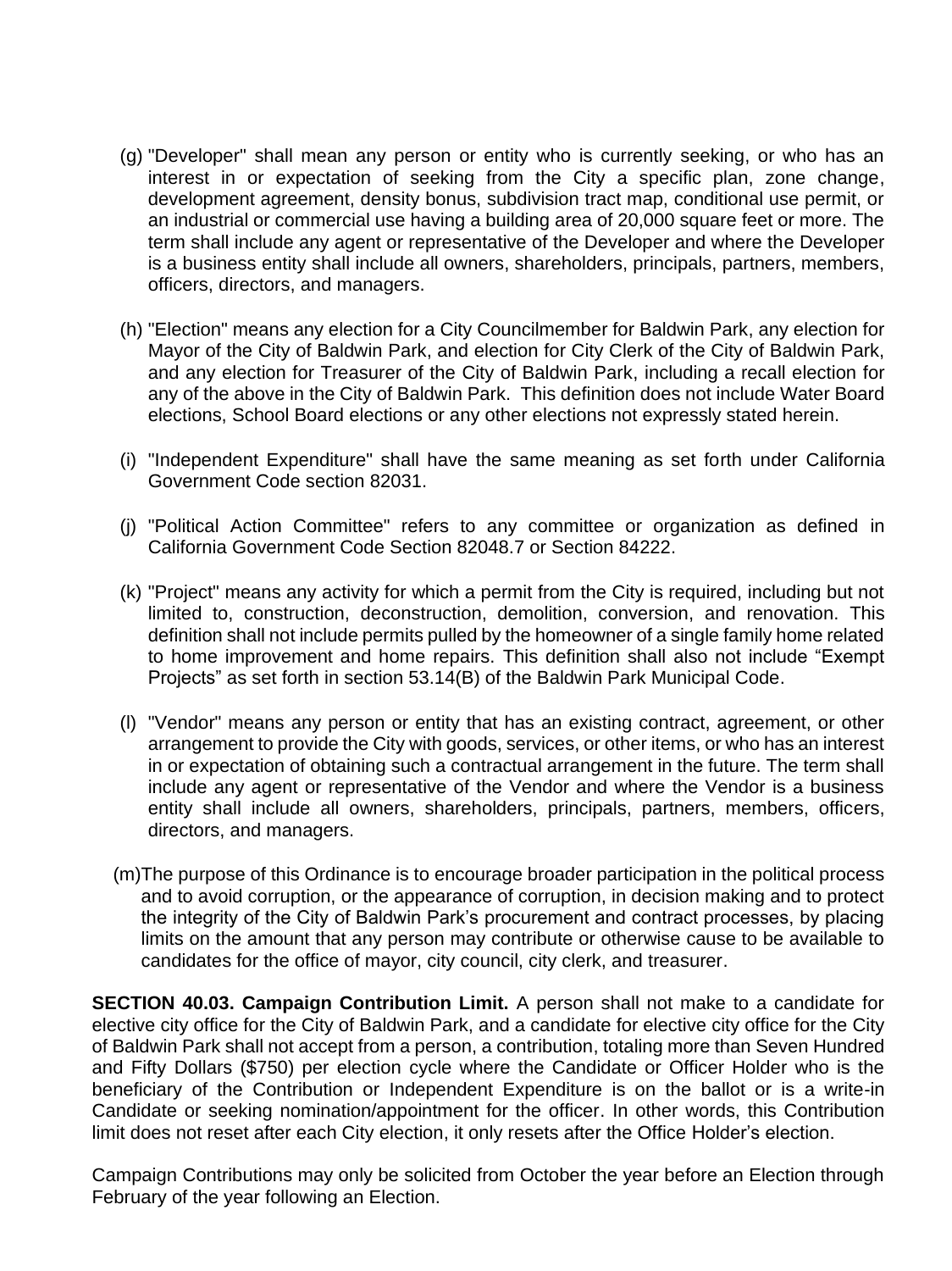- (g) "Developer" shall mean any person or entity who is currently seeking, or who has an interest in or expectation of seeking from the City a specific plan, zone change, development agreement, density bonus, subdivision tract map, conditional use permit, or an industrial or commercial use having a building area of 20,000 square feet or more. The term shall include any agent or representative of the Developer and where the Developer is a business entity shall include all owners, shareholders, principals, partners, members, officers, directors, and managers.
- (h) "Election" means any election for a City Councilmember for Baldwin Park, any election for Mayor of the City of Baldwin Park, and election for City Clerk of the City of Baldwin Park, and any election for Treasurer of the City of Baldwin Park, including a recall election for any of the above in the City of Baldwin Park. This definition does not include Water Board elections, School Board elections or any other elections not expressly stated herein.
- (i) "Independent Expenditure" shall have the same meaning as set forth under California Government Code section 82031.
- (j) "Political Action Committee" refers to any committee or organization as defined in California Government Code Section 82048.7 or Section 84222.
- (k) "Project" means any activity for which a permit from the City is required, including but not limited to, construction, deconstruction, demolition, conversion, and renovation. This definition shall not include permits pulled by the homeowner of a single family home related to home improvement and home repairs. This definition shall also not include "Exempt Projects" as set forth in section 53.14(B) of the Baldwin Park Municipal Code.
- (l) "Vendor" means any person or entity that has an existing contract, agreement, or other arrangement to provide the City with goods, services, or other items, or who has an interest in or expectation of obtaining such a contractual arrangement in the future. The term shall include any agent or representative of the Vendor and where the Vendor is a business entity shall include all owners, shareholders, principals, partners, members, officers, directors, and managers.
- (m)The purpose of this Ordinance is to encourage broader participation in the political process and to avoid corruption, or the appearance of corruption, in decision making and to protect the integrity of the City of Baldwin Park's procurement and contract processes, by placing limits on the amount that any person may contribute or otherwise cause to be available to candidates for the office of mayor, city council, city clerk, and treasurer.

**SECTION 40.03. Campaign Contribution Limit.** A person shall not make to a candidate for elective city office for the City of Baldwin Park, and a candidate for elective city office for the City of Baldwin Park shall not accept from a person, a contribution, totaling more than Seven Hundred and Fifty Dollars (\$750) per election cycle where the Candidate or Officer Holder who is the beneficiary of the Contribution or Independent Expenditure is on the ballot or is a write-in Candidate or seeking nomination/appointment for the officer. In other words, this Contribution limit does not reset after each City election, it only resets after the Office Holder's election.

Campaign Contributions may only be solicited from October the year before an Election through February of the year following an Election.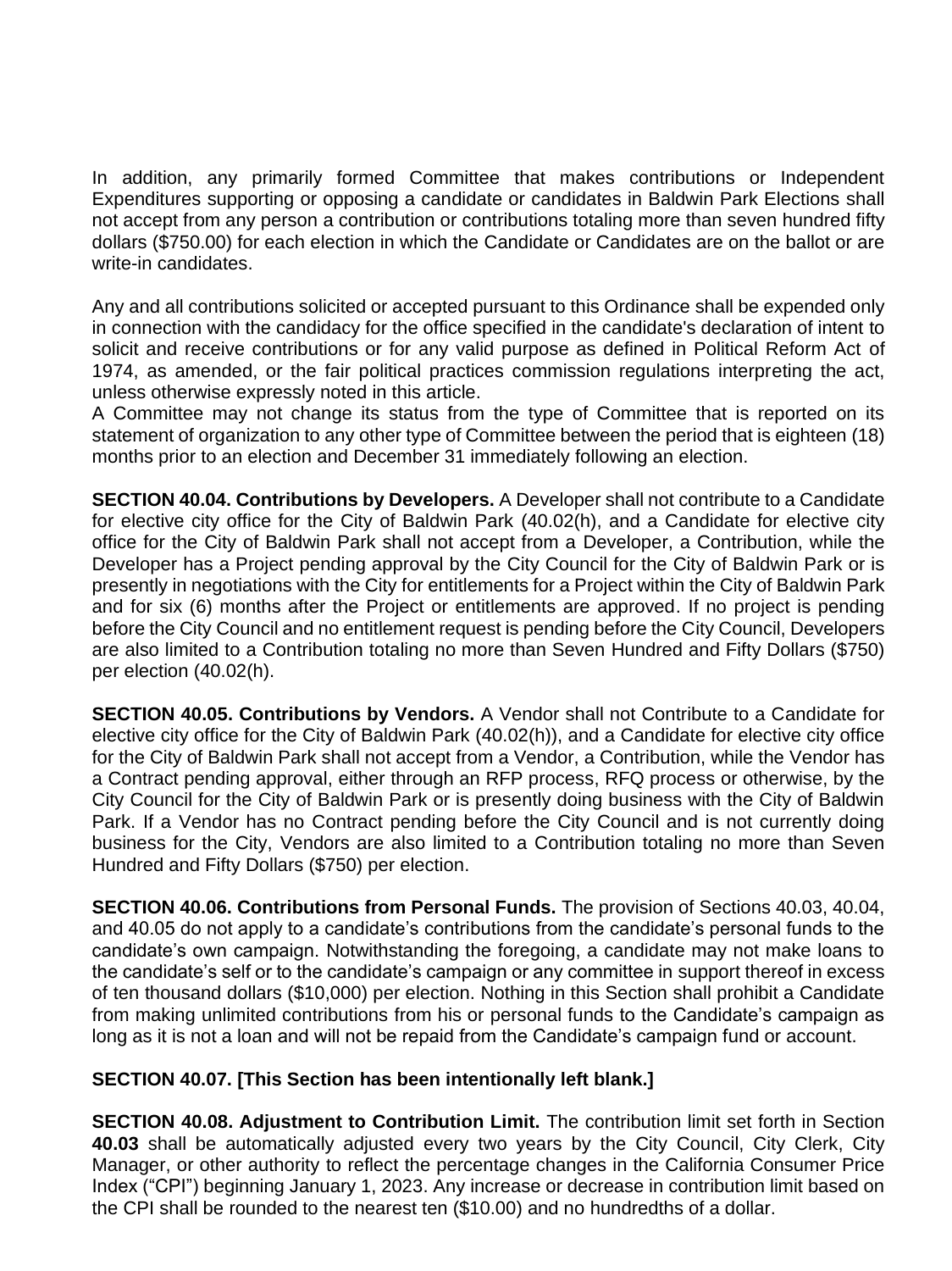In addition, any primarily formed Committee that makes contributions or Independent Expenditures supporting or opposing a candidate or candidates in Baldwin Park Elections shall not accept from any person a contribution or contributions totaling more than seven hundred fifty dollars (\$750.00) for each election in which the Candidate or Candidates are on the ballot or are write-in candidates

Any and all contributions solicited or accepted pursuant to this Ordinance shall be expended only in connection with the candidacy for the office specified in the candidate's declaration of intent to solicit and receive contributions or for any valid purpose as defined in Political Reform Act of 1974, as amended, or the fair political practices commission regulations interpreting the act, unless otherwise expressly noted in this article.

A Committee may not change its status from the type of Committee that is reported on its statement of organization to any other type of Committee between the period that is eighteen (18) months prior to an election and December 31 immediately following an election.

**SECTION 40.04. Contributions by Developers.** A Developer shall not contribute to a Candidate for elective city office for the City of Baldwin Park (40.02(h), and a Candidate for elective city office for the City of Baldwin Park shall not accept from a Developer, a Contribution, while the Developer has a Project pending approval by the City Council for the City of Baldwin Park or is presently in negotiations with the City for entitlements for a Project within the City of Baldwin Park and for six (6) months after the Project or entitlements are approved. If no project is pending before the City Council and no entitlement request is pending before the City Council, Developers are also limited to a Contribution totaling no more than Seven Hundred and Fifty Dollars (\$750) per election (40.02(h).

**SECTION 40.05. Contributions by Vendors.** A Vendor shall not Contribute to a Candidate for elective city office for the City of Baldwin Park (40.02(h)), and a Candidate for elective city office for the City of Baldwin Park shall not accept from a Vendor, a Contribution, while the Vendor has a Contract pending approval, either through an RFP process, RFQ process or otherwise, by the City Council for the City of Baldwin Park or is presently doing business with the City of Baldwin Park. If a Vendor has no Contract pending before the City Council and is not currently doing business for the City, Vendors are also limited to a Contribution totaling no more than Seven Hundred and Fifty Dollars (\$750) per election.

**SECTION 40.06. Contributions from Personal Funds.** The provision of Sections 40.03, 40.04, and 40.05 do not apply to a candidate's contributions from the candidate's personal funds to the candidate's own campaign. Notwithstanding the foregoing, a candidate may not make loans to the candidate's self or to the candidate's campaign or any committee in support thereof in excess of ten thousand dollars (\$10,000) per election. Nothing in this Section shall prohibit a Candidate from making unlimited contributions from his or personal funds to the Candidate's campaign as long as it is not a loan and will not be repaid from the Candidate's campaign fund or account.

# **SECTION 40.07. [This Section has been intentionally left blank.]**

**SECTION 40.08. Adjustment to Contribution Limit.** The contribution limit set forth in Section **40.03** shall be automatically adjusted every two years by the City Council, City Clerk, City Manager, or other authority to reflect the percentage changes in the California Consumer Price Index ("CPI") beginning January 1, 2023. Any increase or decrease in contribution limit based on the CPI shall be rounded to the nearest ten (\$10.00) and no hundredths of a dollar.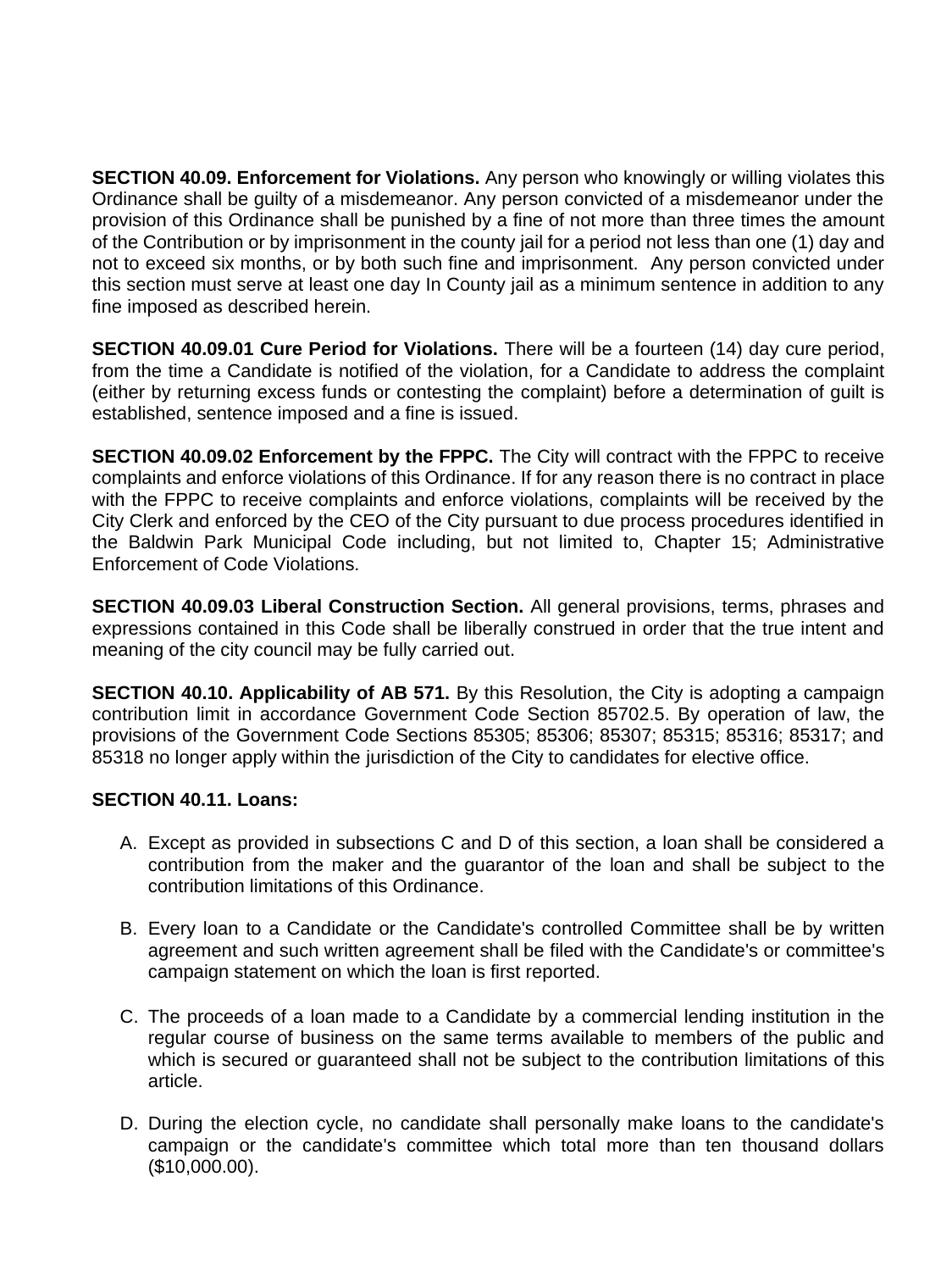**SECTION 40.09. Enforcement for Violations.** Any person who knowingly or willing violates this Ordinance shall be guilty of a misdemeanor. Any person convicted of a misdemeanor under the provision of this Ordinance shall be punished by a fine of not more than three times the amount of the Contribution or by imprisonment in the county jail for a period not less than one (1) day and not to exceed six months, or by both such fine and imprisonment. Any person convicted under this section must serve at least one day In County jail as a minimum sentence in addition to any fine imposed as described herein.

**SECTION 40.09.01 Cure Period for Violations.** There will be a fourteen (14) day cure period, from the time a Candidate is notified of the violation, for a Candidate to address the complaint (either by returning excess funds or contesting the complaint) before a determination of guilt is established, sentence imposed and a fine is issued.

**SECTION 40.09.02 Enforcement by the FPPC.** The City will contract with the FPPC to receive complaints and enforce violations of this Ordinance. If for any reason there is no contract in place with the FPPC to receive complaints and enforce violations, complaints will be received by the City Clerk and enforced by the CEO of the City pursuant to due process procedures identified in the Baldwin Park Municipal Code including, but not limited to, Chapter 15; Administrative Enforcement of Code Violations.

**SECTION 40.09.03 Liberal Construction Section.** All general provisions, terms, phrases and expressions contained in this Code shall be liberally construed in order that the true intent and meaning of the city council may be fully carried out.

**SECTION 40.10. Applicability of AB 571.** By this Resolution, the City is adopting a campaign contribution limit in accordance Government Code Section 85702.5. By operation of law, the provisions of the Government Code Sections 85305; 85306; 85307; 85315; 85316; 85317; and 85318 no longer apply within the jurisdiction of the City to candidates for elective office.

# **SECTION 40.11. Loans:**

- A. Except as provided in subsections C and D of this section, a loan shall be considered a contribution from the maker and the guarantor of the loan and shall be subject to the contribution limitations of this Ordinance.
- B. Every loan to a Candidate or the Candidate's controlled Committee shall be by written agreement and such written agreement shall be filed with the Candidate's or committee's campaign statement on which the loan is first reported.
- C. The proceeds of a loan made to a Candidate by a commercial lending institution in the regular course of business on the same terms available to members of the public and which is secured or guaranteed shall not be subject to the contribution limitations of this article.
- D. During the election cycle, no candidate shall personally make loans to the candidate's campaign or the candidate's committee which total more than ten thousand dollars (\$10,000.00).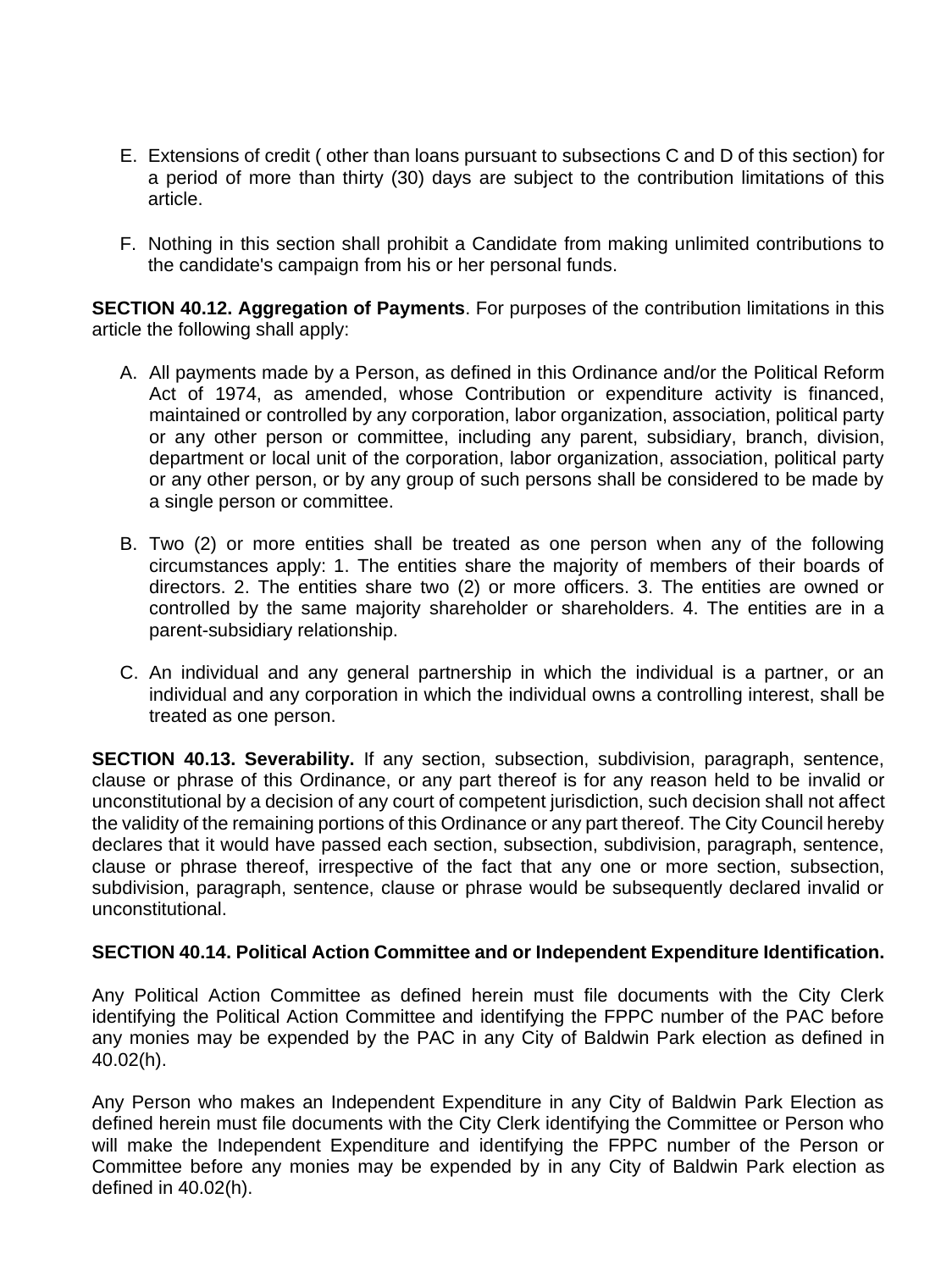- E. Extensions of credit ( other than loans pursuant to subsections C and D of this section) for a period of more than thirty (30) days are subject to the contribution limitations of this article.
- F. Nothing in this section shall prohibit a Candidate from making unlimited contributions to the candidate's campaign from his or her personal funds.

**SECTION 40.12. Aggregation of Payments**. For purposes of the contribution limitations in this article the following shall apply:

- A. All payments made by a Person, as defined in this Ordinance and/or the Political Reform Act of 1974, as amended, whose Contribution or expenditure activity is financed, maintained or controlled by any corporation, labor organization, association, political party or any other person or committee, including any parent, subsidiary, branch, division, department or local unit of the corporation, labor organization, association, political party or any other person, or by any group of such persons shall be considered to be made by a single person or committee.
- B. Two (2) or more entities shall be treated as one person when any of the following circumstances apply: 1. The entities share the majority of members of their boards of directors. 2. The entities share two (2) or more officers. 3. The entities are owned or controlled by the same majority shareholder or shareholders. 4. The entities are in a parent-subsidiary relationship.
- C. An individual and any general partnership in which the individual is a partner, or an individual and any corporation in which the individual owns a controlling interest, shall be treated as one person.

**SECTION 40.13. Severability.** If any section, subsection, subdivision, paragraph, sentence, clause or phrase of this Ordinance, or any part thereof is for any reason held to be invalid or unconstitutional by a decision of any court of competent jurisdiction, such decision shall not affect the validity of the remaining portions of this Ordinance or any part thereof. The City Council hereby declares that it would have passed each section, subsection, subdivision, paragraph, sentence, clause or phrase thereof, irrespective of the fact that any one or more section, subsection, subdivision, paragraph, sentence, clause or phrase would be subsequently declared invalid or unconstitutional.

### **SECTION 40.14. Political Action Committee and or Independent Expenditure Identification.**

Any Political Action Committee as defined herein must file documents with the City Clerk identifying the Political Action Committee and identifying the FPPC number of the PAC before any monies may be expended by the PAC in any City of Baldwin Park election as defined in 40.02(h).

Any Person who makes an Independent Expenditure in any City of Baldwin Park Election as defined herein must file documents with the City Clerk identifying the Committee or Person who will make the Independent Expenditure and identifying the FPPC number of the Person or Committee before any monies may be expended by in any City of Baldwin Park election as defined in 40.02(h).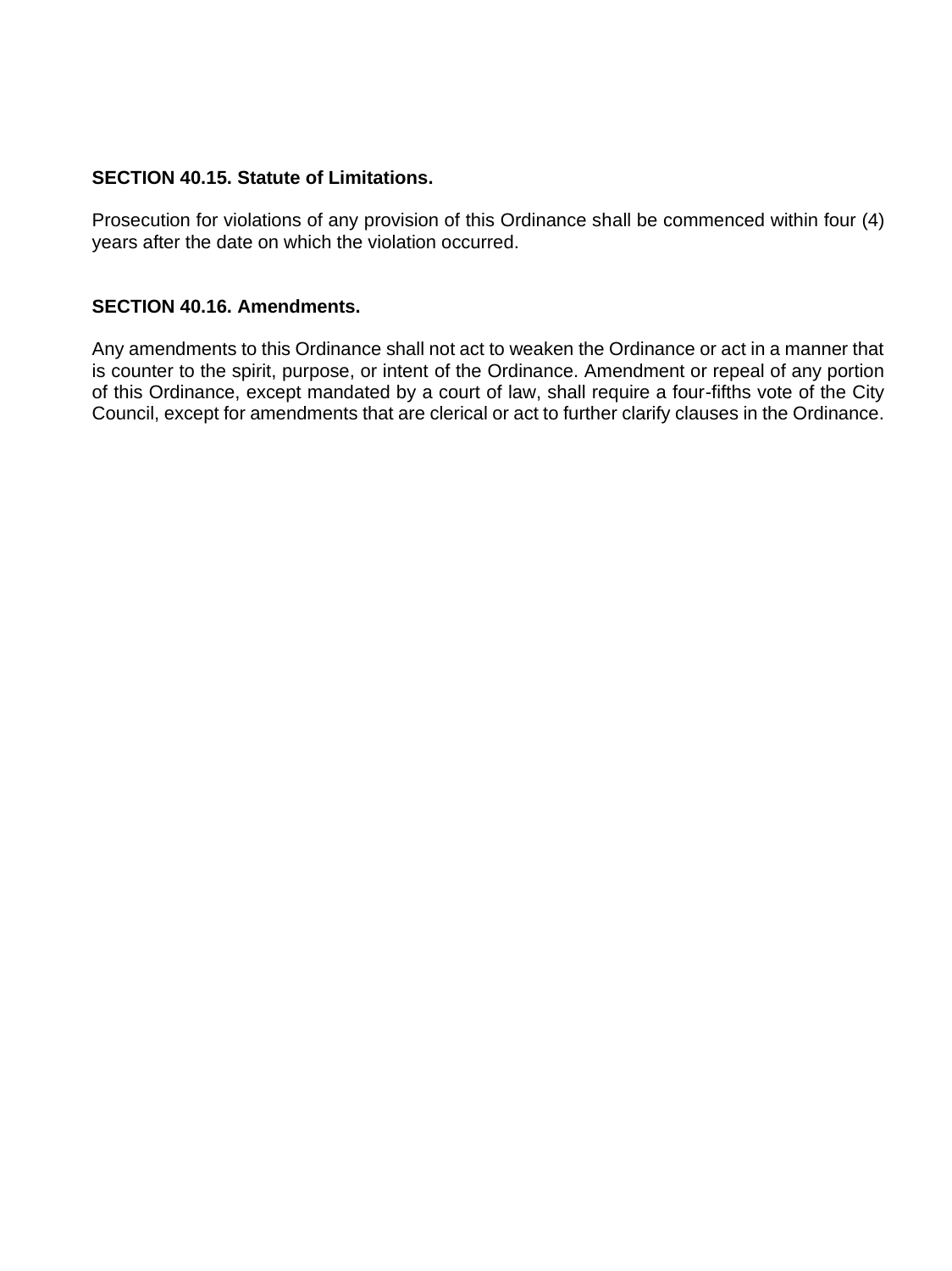### **SECTION 40.15. Statute of Limitations.**

Prosecution for violations of any provision of this Ordinance shall be commenced within four (4) years after the date on which the violation occurred.

### **SECTION 40.16. Amendments.**

Any amendments to this Ordinance shall not act to weaken the Ordinance or act in a manner that is counter to the spirit, purpose, or intent of the Ordinance. Amendment or repeal of any portion of this Ordinance, except mandated by a court of law, shall require a four-fifths vote of the City Council, except for amendments that are clerical or act to further clarify clauses in the Ordinance.